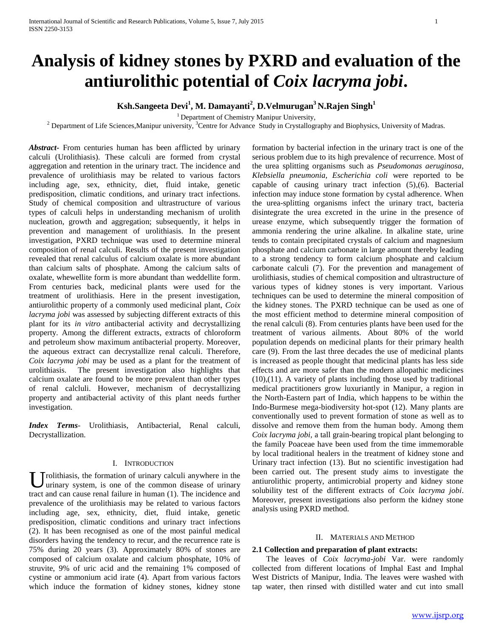# **Analysis of kidney stones by PXRD and evaluation of the antiurolithic potential of** *Coix lacryma jobi***.**

# **Ksh.Sangeeta Devi<sup>1</sup> , M. Damayanti<sup>2</sup> , D.Velmurugan<sup>3</sup> N.Rajen Singh<sup>1</sup>**

<sup>1</sup> Department of Chemistry Manipur University,

<sup>2</sup> Department of Life Sciences, Manipur university, <sup>3</sup>Centre for Advance Study in Crystallography and Biophysics, University of Madras.

*Abstract***-** From centuries human has been afflicted by urinary calculi (Urolithiasis). These calculi are formed from crystal aggregation and retention in the urinary tract. The incidence and prevalence of urolithiasis may be related to various factors including age, sex, ethnicity, diet, fluid intake, genetic predisposition, climatic conditions, and urinary tract infections. Study of chemical composition and ultrastructure of various types of calculi helps in understanding mechanism of urolith nucleation, growth and aggregation; subsequently, it helps in prevention and management of urolithiasis. In the present investigation, PXRD technique was used to determine mineral composition of renal calculi. Results of the present investigation revealed that renal calculus of calcium oxalate is more abundant than calcium salts of phosphate. Among the calcium salts of oxalate, whewellite form is more abundant than weddellite form. From centuries back, medicinal plants were used for the treatment of urolithiasis. Here in the present investigation, antiurolithic property of a commonly used medicinal plant, *Coix lacryma jobi* was assessed by subjecting different extracts of this plant for its *in vitro* antibacterial activity and decrystallizing property. Among the different extracts, extracts of chloroform and petroleum show maximum antibacterial property. Moreover, the aqueous extract can decrystallize renal calculi. Therefore, *Coix lacryma jobi* may be used as a plant for the treatment of urolithiasis. The present investigation also highlights that calcium oxalate are found to be more prevalent than other types of renal calcluli. However, mechanism of decrystallizing property and antibacterial activity of this plant needs further investigation.

*Index Terms*- Urolithiasis, Antibacterial, Renal calculi, Decrystallization.

#### I. INTRODUCTION

U rolithiasis, the formation of urinary calculi anywhere in the urinary system, is one of the common disease of urinary urinary system, is one of the common disease of urinary tract and can cause renal failure in human (1). The incidence and prevalence of the urolithiasis may be related to various factors including age, sex, ethnicity, diet, fluid intake, genetic predisposition, climatic conditions and urinary tract infections (2). It has been recognised as one of the most painful medical disorders having the tendency to recur, and the recurrence rate is 75% during 20 years (3). Approximately 80% of stones are composed of calcium oxalate and calcium phosphate, 10% of struvite, 9% of uric acid and the remaining 1% composed of cystine or ammonium acid irate (4). Apart from various factors which induce the formation of kidney stones, kidney stone

formation by bacterial infection in the urinary tract is one of the serious problem due to its high prevalence of recurrence. Most of the urea splitting organisms such as *Pseudomonas aeruginosa, Klebsiella pneumonia, Escherichia coli* were reported to be capable of causing urinary tract infection (5),(6). Bacterial infection may induce stone formation by cystal adherence. When the urea-splitting organisms infect the urinary tract, bacteria disintegrate the urea excreted in the urine in the presence of urease enzyme, which subsequently trigger the formation of ammonia rendering the urine alkaline. In alkaline state, urine tends to contain precipitated crystals of calcium and magnesium phosphate and calcium carbonate in large amount thereby leading to a strong tendency to form calcium phosphate and calcium carbonate calculi (7). For the prevention and management of urolithiasis, studies of chemical composition and ultrastructure of various types of kidney stones is very important. Various techniques can be used to determine the mineral composition of the kidney stones. The PXRD technique can be used as one of the most efficient method to determine mineral composition of the renal calculi (8). From centuries plants have been used for the treatment of various ailments. About 80% of the world population depends on medicinal plants for their primary health care (9). From the last three decades the use of medicinal plants is increased as people thought that medicinal plants has less side effects and are more safer than the modern allopathic medicines (10),(11). A variety of plants including those used by traditional medical practitioners grow luxuriantly in Manipur, a region in the North-Eastern part of India, which happens to be within the Indo-Burmese mega-biodiversity hot-spot (12). Many plants are conventionally used to prevent formation of stone as well as to dissolve and remove them from the human body. Among them *Coix lacryma jobi,* a tall grain-bearing tropical plant belonging to the family Poaceae have been used from the time immemorable by local traditional healers in the treatment of kidney stone and Urinary tract infection (13). But no scientific investigation had been carried out. The present study aims to investigate the antiurolithic property, antimicrobial property and kidney stone solubility test of the different extracts of *Coix lacryma jobi*. Moreover, present investigations also perform the kidney stone analysis using PXRD method.

#### II. MATERIALS AND METHOD

## **2.1 Collection and preparation of plant extracts:**

 The leaves of *Coix lacryma-jobi* Var. were randomly collected from different locations of Imphal East and Imphal West Districts of Manipur, India. The leaves were washed with tap water, then rinsed with distilled water and cut into small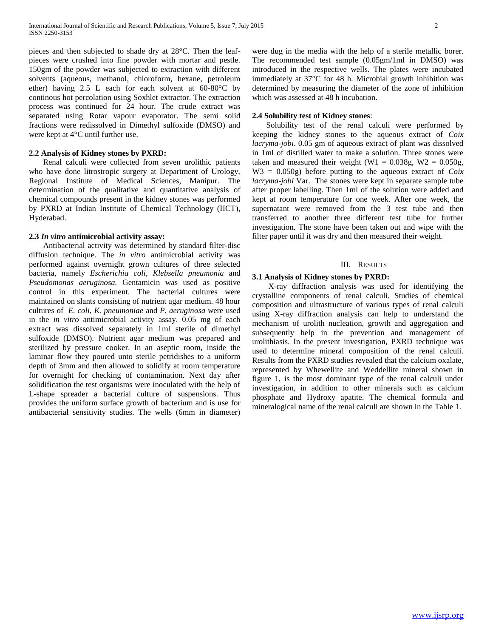pieces and then subjected to shade dry at 28°C. Then the leafpieces were crushed into fine powder with mortar and pestle. 150gm of the powder was subjected to extraction with different solvents (aqueous, methanol, chloroform, hexane, petroleum ether) having 2.5 L each for each solvent at 60-80°C by continous hot percolation using Soxhlet extractor. The extraction process was continued for 24 hour. The crude extract was separated using Rotar vapour evaporator. The semi solid fractions were redissolved in Dimethyl sulfoxide (DMSO) and were kept at 4°C until further use.

### **2.2 Analysis of Kidney stones by PXRD:**

 Renal calculi were collected from seven urolithic patients who have done litrostropic surgery at Department of Urology, Regional Institute of Medical Sciences, Manipur. The determination of the qualitative and quantitative analysis of chemical compounds present in the kidney stones was performed by PXRD at Indian Institute of Chemical Technology (IICT), Hyderabad.

#### **2.3** *In vitro* **antimicrobial activity assay:**

 Antibacterial activity was determined by standard filter-disc diffusion technique. The *in vitro* antimicrobial activity was performed against overnight grown cultures of three selected bacteria, namely *Escherichia coli*, *Klebsella pneumonia* and *Pseudomonas aeruginosa.* Gentamicin was used as positive control in this experiment. The bacterial cultures were maintained on slants consisting of nutrient agar medium. 48 hour cultures of *E. coli*, *K. pneumoniae* and *P. aeruginosa* were used in the *in vitro* antimicrobial activity assay. 0.05 mg of each extract was dissolved separately in 1ml sterile of dimethyl sulfoxide (DMSO). Nutrient agar medium was prepared and sterilized by pressure cooker. In an aseptic room, inside the laminar flow they poured unto sterile petridishes to a uniform depth of 3mm and then allowed to solidify at room temperature for overnight for checking of contamination. Next day after solidification the test organisms were inoculated with the help of L-shape spreader a bacterial culture of suspensions. Thus provides the uniform surface growth of bacterium and is use for antibacterial sensitivity studies. The wells (6mm in diameter)

were dug in the media with the help of a sterile metallic borer. The recommended test sample (0.05gm/1ml in DMSO) was introduced in the respective wells. The plates were incubated immediately at 37°C for 48 h. Microbial growth inhibition was determined by measuring the diameter of the zone of inhibition which was assessed at 48 h incubation.

#### **2.4 Solubility test of Kidney stones**:

 Solubility test of the renal calculi were performed by keeping the kidney stones to the aqueous extract of *Coix lacryma-jobi*. 0.05 gm of aqueous extract of plant was dissolved in 1ml of distilled water to make a solution. Three stones were taken and measured their weight (W1 =  $0.038g$ , W2 =  $0.050g$ , W3 = 0.050g) before putting to the aqueous extract of *Coix lacryma-jobi* Var. The stones were kept in separate sample tube after proper labelling. Then 1ml of the solution were added and kept at room temperature for one week. After one week, the supernatant were removed from the 3 test tube and then transferred to another three different test tube for further investigation. The stone have been taken out and wipe with the filter paper until it was dry and then measured their weight.

#### III. RESULTS

#### **3.1 Analysis of Kidney stones by PXRD:**

 X-ray diffraction analysis was used for identifying the crystalline components of renal calculi. Studies of chemical composition and ultrastructure of various types of renal calculi using X-ray diffraction analysis can help to understand the mechanism of urolith nucleation, growth and aggregation and subsequently help in the prevention and management of urolithiasis. In the present investigation, PXRD technique was used to determine mineral composition of the renal calculi. Results from the PXRD studies revealed that the calcium oxalate, represented by Whewellite and Weddellite mineral shown in figure 1, is the most dominant type of the renal calculi under investigation, in addition to other minerals such as calcium phosphate and Hydroxy apatite. The chemical formula and mineralogical name of the renal calculi are shown in the Table 1.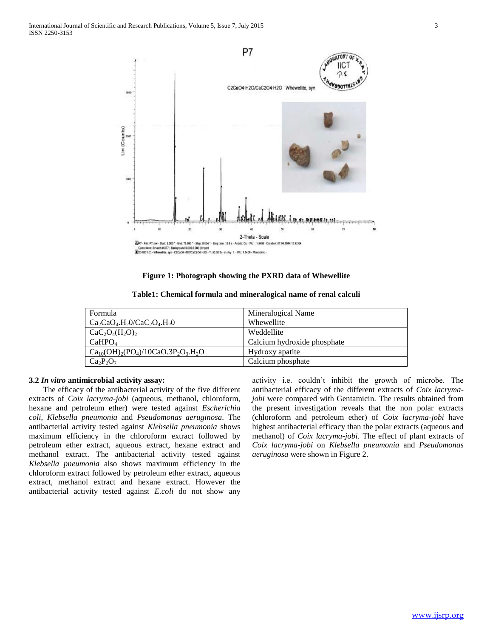

#### **Figure 1: Photograph showing the PXRD data of Whewellite**

| Table1: Chemical formula and mineralogical name of renal calculi |  |
|------------------------------------------------------------------|--|
|------------------------------------------------------------------|--|

| Formula                                            | Mineralogical Name          |
|----------------------------------------------------|-----------------------------|
| $Ca_2CaO4.H2O/CaC2O4.H2O$                          | Whewellite                  |
| $CaC2O4(H2O)2$                                     | Weddellite                  |
| CaHPO <sub>4</sub>                                 | Calcium hydroxide phosphate |
| $Ca_{10}(OH)_{2}(PO_{4})/10CaO.3P_{2}O_{3}.H_{2}O$ | Hydroxy apatite             |
| $Ca_2P_2O_7$                                       | Calcium phosphate           |

#### **3.2** *In vitro* **antimicrobial activity assay:**

 The efficacy of the antibacterial activity of the five different extracts of *Coix lacryma-jobi* (aqueous, methanol, chloroform, hexane and petroleum ether) were tested against *Escherichia coli*, *Klebsella pneumonia* and *Pseudomonas aeruginosa*. The antibacterial activity tested against *Klebsella pneumonia* shows maximum efficiency in the chloroform extract followed by petroleum ether extract, aqueous extract, hexane extract and methanol extract. The antibacterial activity tested against *Klebsella pneumonia* also shows maximum efficiency in the chloroform extract followed by petroleum ether extract, aqueous extract, methanol extract and hexane extract. However the antibacterial activity tested against *E.coli* do not show any

activity i.e. couldn't inhibit the growth of microbe. The antibacterial efficacy of the different extracts of *Coix lacrymajobi* were compared with Gentamicin. The results obtained from the present investigation reveals that the non polar extracts (chloroform and petroleum ether) of *Coix lacryma-jobi* have highest antibacterial efficacy than the polar extracts (aqueous and methanol) of *Coix lacryma-jobi.* The effect of plant extracts of *Coix lacryma-jobi* on *Klebsella pneumonia* and *Pseudomonas aeruginosa* were shown in Figure 2.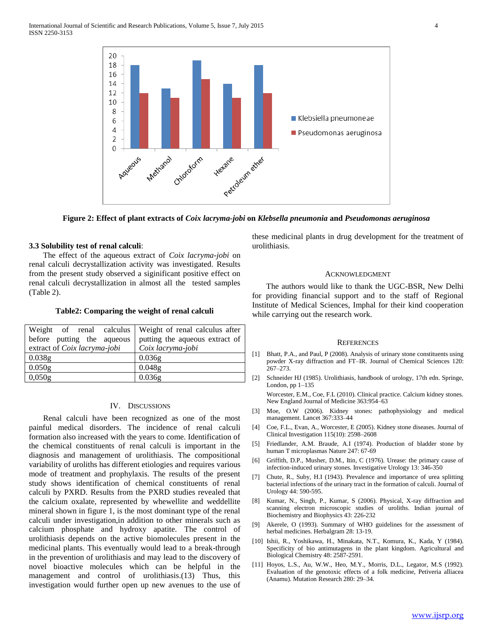

**Figure 2: Effect of plant extracts of** *Coix lacryma-jobi* **on** *Klebsella pneumonia* **and** *Pseudomonas aeruginosa*

# **3.3 Solubility test of renal calculi**:

 The effect of the aqueous extract of *Coix lacryma-jobi* on renal calculi decrystallization activity was investigated. Results from the present study observed a siginificant positive effect on renal calculi decrystallization in almost all the tested samples (Table 2).

#### **Table2: Comparing the weight of renal calculi**

| Weight of renal calculus     | Weight of renal calculus after |
|------------------------------|--------------------------------|
| before putting the aqueous   | putting the aqueous extract of |
| extract of Coix lacryma-jobi | Coix lacryma-jobi              |
| 0.038g                       | 0.036g                         |
| 0.050g                       | 0.048g                         |
| 0,050g                       | 0.036g                         |

#### IV. DISCUSSIONS

 Renal calculi have been recognized as one of the most painful medical disorders. The incidence of renal calculi formation also increased with the years to come. Identification of the chemical constituents of renal calculi is important in the diagnosis and management of urolithiasis. The compositional variability of uroliths has different etiologies and requires various mode of treatment and prophylaxis. The results of the present study shows identification of chemical constituents of renal calculi by PXRD. Results from the PXRD studies revealed that the calcium oxalate, represented by whewellite and weddellite mineral shown in figure 1, is the most dominant type of the renal calculi under investigation,in addition to other minerals such as calcium phosphate and hydroxy apatite. The control of urolithiasis depends on the active biomolecules present in the medicinal plants. This eventually would lead to a break-through in the prevention of urolithiasis and may lead to the discovery of novel bioactive molecules which can be helpful in the management and control of urolithiasis.(13) Thus, this investigation would further open up new avenues to the use of these medicinal plants in drug development for the treatment of urolithiasis.

#### ACKNOWLEDGMENT

 The authors would like to thank the UGC-BSR, New Delhi for providing financial support and to the staff of Regional Institute of Medical Sciences, Imphal for their kind cooperation while carrying out the research work.

#### **REFERENCES**

- [1] Bhatt, P.A., and Paul, P (2008). Analysis of urinary stone constituents using powder X-ray diffraction and FT–IR. Journal of Chemical Sciences 120: 267–273.
- [2] Schneider HJ (1985). Urolithiasis, handbook of urology, 17th edn. Springe, London,  $pp 1-135$ 
	- Worcester, E.M., Coe, F.L (2010). Clinical practice. Calcium kidney stones. New England Journal of Medicine 363:954–63
- [3] Moe, O.W (2006). Kidney stones: pathophysiology and medical management. Lancet 367:333–44
- [4] Coe, F.L., Evan, A., Worcester, E (2005). Kidney stone diseases. Journal of Clinical Investigation 115(10): 2598–2608
- [5] Friedlander, A.M. Braude, A.I (1974). Production of bladder stone by human T microplasmas Nature 247: 67-69
- [6] Griffith, D.P., Musher, D.M., Itin, C (1976). Urease: the primary cause of infection-induced urinary stones. Investigative Urology 13: 346-350
- [7] Chute, R., Suby, H.I (1943). Prevalence and importance of urea splitting bacterial infections of the urinary tract in the formation of calculi. Journal of Urology 44: 590-595.
- [8] Kumar, N., Singh, P., Kumar, S (2006). Physical, X-ray diffraction and scanning electron microscopic studies of uroliths. Indian journal of Biochemistry and Biophysics 43: 226-232
- [9] Akerele, O (1993). Summary of WHO guidelines for the assessment of herbal medicines. Herbalgram 28: 13-19.
- [10] Ishii, R., Yoshikawa, H., Minakata, N.T., Komura, K., Kada, Y (1984). Specificity of bio antimutagens in the plant kingdom. Agricultural and Biological Chemistry 48: 2587-2591.
- [11] Hoyos, L.S., Au, W.W., Heo, M.Y., Morris, D.L., Legator, M.S (1992). Evaluation of the genotoxic effects of a folk medicine, Petiveria alliacea (Anamu). Mutation Research 280: 29–34.